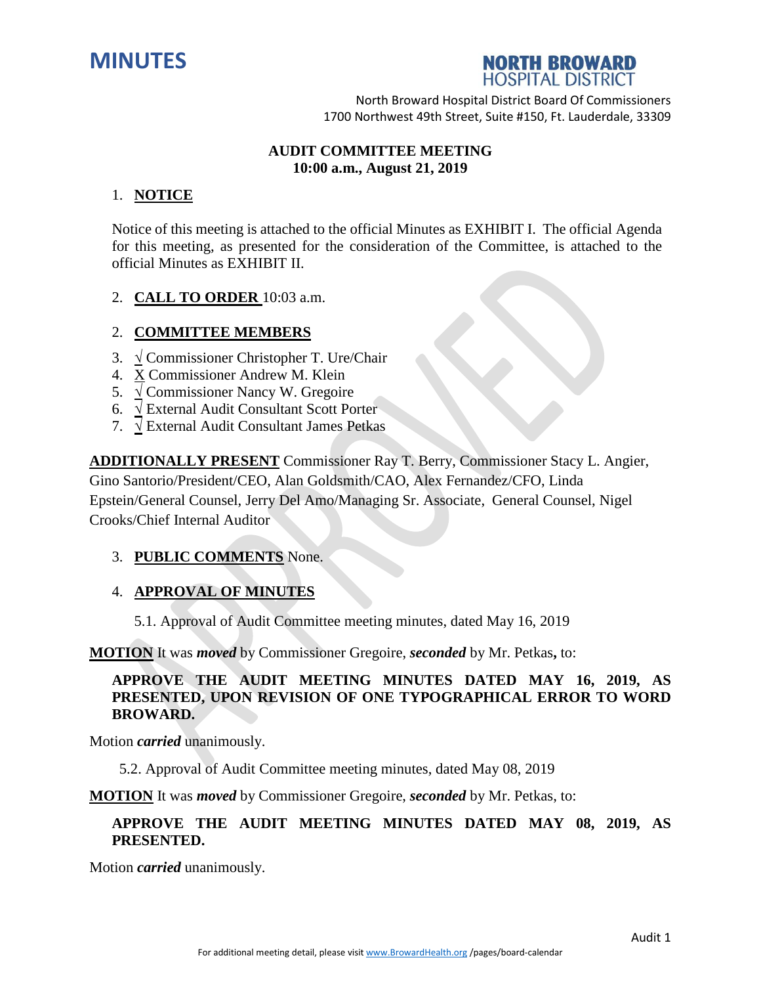



North Broward Hospital District Board Of Commissioners 1700 Northwest 49th Street, Suite #150, Ft. Lauderdale, 33309

# **AUDIT COMMITTEE MEETING 10:00 a.m., August 21, 2019**

# 1. **NOTICE**

Notice of this meeting is attached to the official Minutes as EXHIBIT I. The official Agenda for this meeting, as presented for the consideration of the Committee, is attached to the official Minutes as EXHIBIT II.

2. **CALL TO ORDER** 10:03 a.m.

#### 2. **COMMITTEE MEMBERS**

- 3. **√** Commissioner Christopher T. Ure/Chair
- 4. X Commissioner Andrew M. Klein
- 5. **√** Commissioner Nancy W. Gregoire
- 6. **√** External Audit Consultant Scott Porter
- 7. **√** External Audit Consultant James Petkas

**ADDITIONALLY PRESENT** Commissioner Ray T. Berry, Commissioner Stacy L. Angier, Gino Santorio/President/CEO, Alan Goldsmith/CAO, Alex Fernandez/CFO, Linda Epstein/General Counsel, Jerry Del Amo/Managing Sr. Associate, General Counsel, Nigel Crooks/Chief Internal Auditor

## 3. **PUBLIC COMMENTS** None.

#### 4. **APPROVAL OF MINUTES**

5.1. Approval of Audit Committee meeting minutes, dated May 16, 2019

**MOTION** It was *moved* by Commissioner Gregoire, *seconded* by Mr. Petkas**,** to:

## **APPROVE THE AUDIT MEETING MINUTES DATED MAY 16, 2019, AS PRESENTED, UPON REVISION OF ONE TYPOGRAPHICAL ERROR TO WORD BROWARD.**

Motion *carried* unanimously.

5.2. Approval of Audit Committee meeting minutes, dated May 08, 2019

**MOTION** It was *moved* by Commissioner Gregoire, *seconded* by Mr. Petkas, to:

## **APPROVE THE AUDIT MEETING MINUTES DATED MAY 08, 2019, AS PRESENTED.**

Motion *carried* unanimously.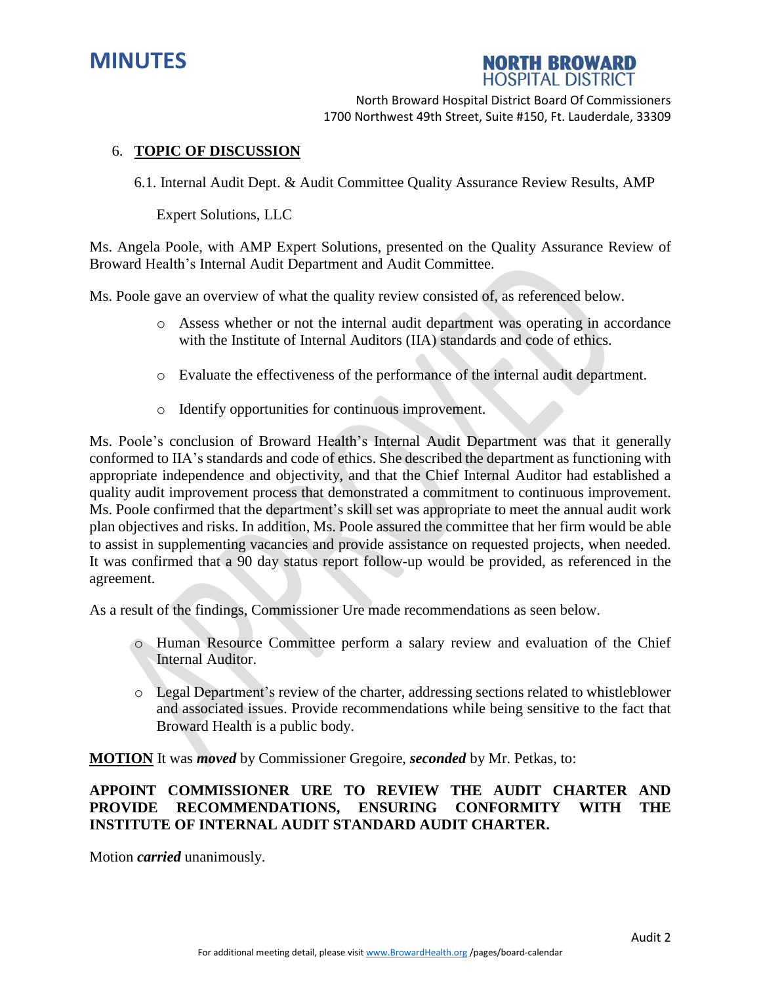



North Broward Hospital District Board Of Commissioners 1700 Northwest 49th Street, Suite #150, Ft. Lauderdale, 33309

### 6. **TOPIC OF DISCUSSION**

6.1. Internal Audit Dept. & Audit Committee Quality Assurance Review Results, AMP

Expert Solutions, LLC

Ms. Angela Poole, with AMP Expert Solutions, presented on the Quality Assurance Review of Broward Health's Internal Audit Department and Audit Committee.

Ms. Poole gave an overview of what the quality review consisted of, as referenced below.

- o Assess whether or not the internal audit department was operating in accordance with the Institute of Internal Auditors (IIA) standards and code of ethics.
- o Evaluate the effectiveness of the performance of the internal audit department.
- o Identify opportunities for continuous improvement.

Ms. Poole's conclusion of Broward Health's Internal Audit Department was that it generally conformed to IIA's standards and code of ethics. She described the department as functioning with appropriate independence and objectivity, and that the Chief Internal Auditor had established a quality audit improvement process that demonstrated a commitment to continuous improvement. Ms. Poole confirmed that the department's skill set was appropriate to meet the annual audit work plan objectives and risks. In addition, Ms. Poole assured the committee that her firm would be able to assist in supplementing vacancies and provide assistance on requested projects, when needed. It was confirmed that a 90 day status report follow-up would be provided, as referenced in the agreement.

As a result of the findings, Commissioner Ure made recommendations as seen below.

- o Human Resource Committee perform a salary review and evaluation of the Chief Internal Auditor.
- o Legal Department's review of the charter, addressing sections related to whistleblower and associated issues. Provide recommendations while being sensitive to the fact that Broward Health is a public body.

**MOTION** It was *moved* by Commissioner Gregoire, *seconded* by Mr. Petkas, to:

# **APPOINT COMMISSIONER URE TO REVIEW THE AUDIT CHARTER AND PROVIDE RECOMMENDATIONS, ENSURING CONFORMITY WITH THE INSTITUTE OF INTERNAL AUDIT STANDARD AUDIT CHARTER.**

Motion *carried* unanimously.